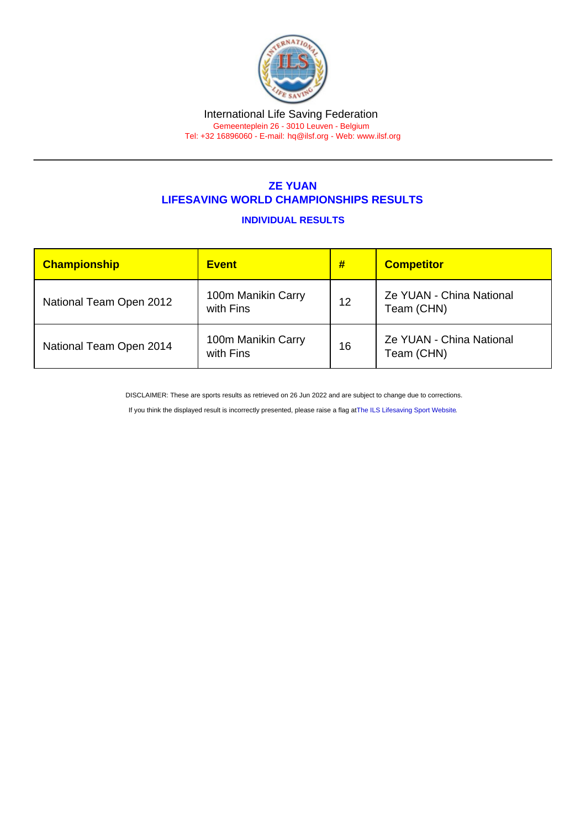# International Life Saving Federation

Gemeenteplein 26 - 3010 Leuven - Belgium Tel: +32 16896060 - E-mail: [hq@ilsf.org](mailto:hq@ilsf.org) - Web: [www.ilsf.org](https://www.ilsf.org)

## ZE YUAN LIFESAVING WORLD CHAMPIONSHIPS RESULTS

### INDIVIDUAL RESULTS

| Championship            | <b>Event</b>                    | #  | <b>Competitor</b>                      |
|-------------------------|---------------------------------|----|----------------------------------------|
| National Team Open 2012 | 100m Manikin Carry<br>with Fins | 12 | Ze YUAN - China National<br>Team (CHN) |
| National Team Open 2014 | 100m Manikin Carry<br>with Fins | 16 | Ze YUAN - China National<br>Team (CHN) |

DISCLAIMER: These are sports results as retrieved on 26 Jun 2022 and are subject to change due to corrections.

If you think the displayed result is incorrectly presented, please raise a flag at [The ILS Lifesaving Sport Website.](https://sport.ilsf.org)